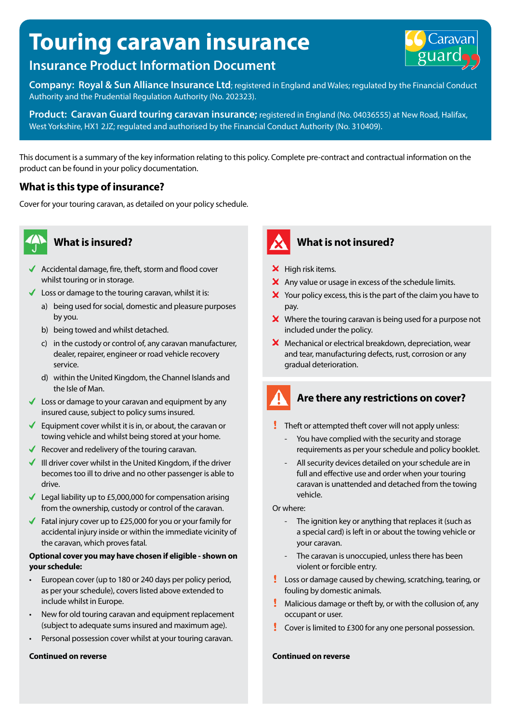# **Touring caravan insurance**



**Company: Royal & Sun Alliance Insurance Ltd**; registered in England and Wales; regulated by the Financial Conduct Authority and the Prudential Regulation Authority (No. 202323).

**Product: Caravan Guard touring caravan insurance;** registered in England (No. 04036555) at New Road, Halifax, West Yorkshire, HX1 2JZ; regulated and authorised by the Financial Conduct Authority (No. 310409).

This document is a summary of the key information relating to this policy. Complete pre-contract and contractual information on the product can be found in your policy documentation.

#### **What is this type of insurance?**

Cover for your touring caravan, as detailed on your policy schedule.



- Accidental damage, fire, theft, storm and flood cover whilst touring or in storage.
- $\blacklozenge$  Loss or damage to the touring caravan, whilst it is:
	- a) being used for social, domestic and pleasure purposes by you.
	- b) being towed and whilst detached.
	- c) in the custody or control of, any caravan manufacturer, dealer, repairer, engineer or road vehicle recovery service.
	- d) within the United Kingdom, the Channel Islands and the Isle of Man.
- $\triangleleft$  Loss or damage to your caravan and equipment by any insured cause, subject to policy sums insured.
- Equipment cover whilst it is in, or about, the caravan or towing vehicle and whilst being stored at your home.
- Recover and redelivery of the touring caravan.
- $\blacksquare$  III driver cover whilst in the United Kingdom, if the driver becomes too ill to drive and no other passenger is able to drive.
- Legal liability up to £5,000,000 for compensation arising from the ownership, custody or control of the caravan.
- Fatal injury cover up to  $£25,000$  for you or your family for accidental injury inside or within the immediate vicinity of the caravan, which proves fatal.

#### **Optional cover you may have chosen if eligible - shown on your schedule:**

- European cover (up to 180 or 240 days per policy period, as per your schedule), covers listed above extended to include whilst in Europe.
- New for old touring caravan and equipment replacement (subject to adequate sums insured and maximum age).
- Personal possession cover whilst at your touring caravan.

#### **Continued on reverse**



### **What is insured? What is not insured?**

- $\boldsymbol{\times}$  High risk items.
- $\boldsymbol{\times}$  Any value or usage in excess of the schedule limits.
- $\boldsymbol{\times}$  Your policy excess, this is the part of the claim you have to pay.
- $\boldsymbol{\times}$  Where the touring caravan is being used for a purpose not included under the policy.
- $\boldsymbol{X}$  Mechanical or electrical breakdown, depreciation, wear and tear, manufacturing defects, rust, corrosion or any gradual deterioration.

## **Are there any restrictions on cover?**

- $\blacksquare$  Theft or attempted theft cover will not apply unless:
	- You have complied with the security and storage requirements as per your schedule and policy booklet.
	- All security devices detailed on your schedule are in full and effective use and order when your touring caravan is unattended and detached from the towing vehicle.

Or where:

- The ignition key or anything that replaces it (such as a special card) is left in or about the towing vehicle or your caravan.
- The caravan is unoccupied, unless there has been violent or forcible entry.
- Loss or damage caused by chewing, scratching, tearing, or fouling by domestic animals.
- **Malicious damage or theft by, or with the collusion of, any** occupant or user.
- Cover is limited to £300 for any one personal possession.

#### **Continued on reverse**